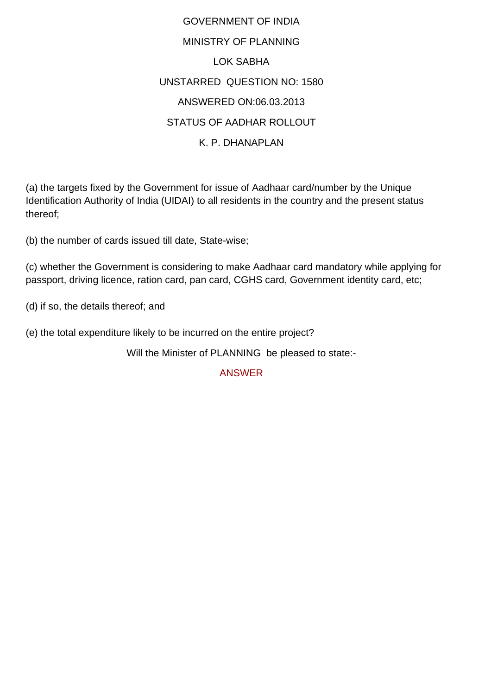GOVERNMENT OF INDIA MINISTRY OF PLANNING LOK SABHA UNSTARRED QUESTION NO: 1580 ANSWERED ON:06.03.2013 STATUS OF AADHAR ROLLOUT K. P. DHANAPLAN

(a) the targets fixed by the Government for issue of Aadhaar card/number by the Unique Identification Authority of India (UIDAI) to all residents in the country and the present status thereof;

(b) the number of cards issued till date, State-wise;

(c) whether the Government is considering to make Aadhaar card mandatory while applying for passport, driving licence, ration card, pan card, CGHS card, Government identity card, etc;

(d) if so, the details thereof; and

(e) the total expenditure likely to be incurred on the entire project?

Will the Minister of PLANNING be pleased to state:-

ANSWER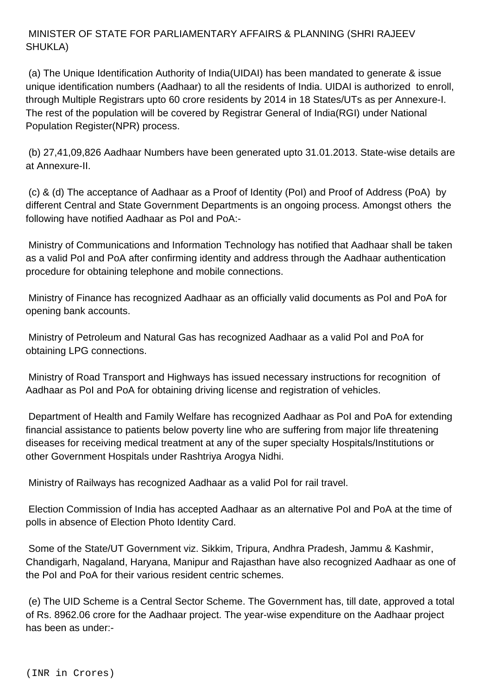## MINISTER OF STATE FOR PARLIAMENTARY AFFAIRS & PLANNING (SHRI RAJEEV SHUKLA)

 (a) The Unique Identification Authority of India(UIDAI) has been mandated to generate & issue unique identification numbers (Aadhaar) to all the residents of India. UIDAI is authorized to enroll, through Multiple Registrars upto 60 crore residents by 2014 in 18 States/UTs as per Annexure-I. The rest of the population will be covered by Registrar General of India(RGI) under National Population Register(NPR) process.

 (b) 27,41,09,826 Aadhaar Numbers have been generated upto 31.01.2013. State-wise details are at Annexure-II.

 (c) & (d) The acceptance of Aadhaar as a Proof of Identity (PoI) and Proof of Address (PoA) by different Central and State Government Departments is an ongoing process. Amongst others the following have notified Aadhaar as PoI and PoA:-

 Ministry of Communications and Information Technology has notified that Aadhaar shall be taken as a valid PoI and PoA after confirming identity and address through the Aadhaar authentication procedure for obtaining telephone and mobile connections.

 Ministry of Finance has recognized Aadhaar as an officially valid documents as PoI and PoA for opening bank accounts.

 Ministry of Petroleum and Natural Gas has recognized Aadhaar as a valid PoI and PoA for obtaining LPG connections.

 Ministry of Road Transport and Highways has issued necessary instructions for recognition of Aadhaar as PoI and PoA for obtaining driving license and registration of vehicles.

 Department of Health and Family Welfare has recognized Aadhaar as PoI and PoA for extending financial assistance to patients below poverty line who are suffering from major life threatening diseases for receiving medical treatment at any of the super specialty Hospitals/Institutions or other Government Hospitals under Rashtriya Arogya Nidhi.

Ministry of Railways has recognized Aadhaar as a valid PoI for rail travel.

 Election Commission of India has accepted Aadhaar as an alternative PoI and PoA at the time of polls in absence of Election Photo Identity Card.

 Some of the State/UT Government viz. Sikkim, Tripura, Andhra Pradesh, Jammu & Kashmir, Chandigarh, Nagaland, Haryana, Manipur and Rajasthan have also recognized Aadhaar as one of the PoI and PoA for their various resident centric schemes.

 (e) The UID Scheme is a Central Sector Scheme. The Government has, till date, approved a total of Rs. 8962.06 crore for the Aadhaar project. The year-wise expenditure on the Aadhaar project has been as under:-